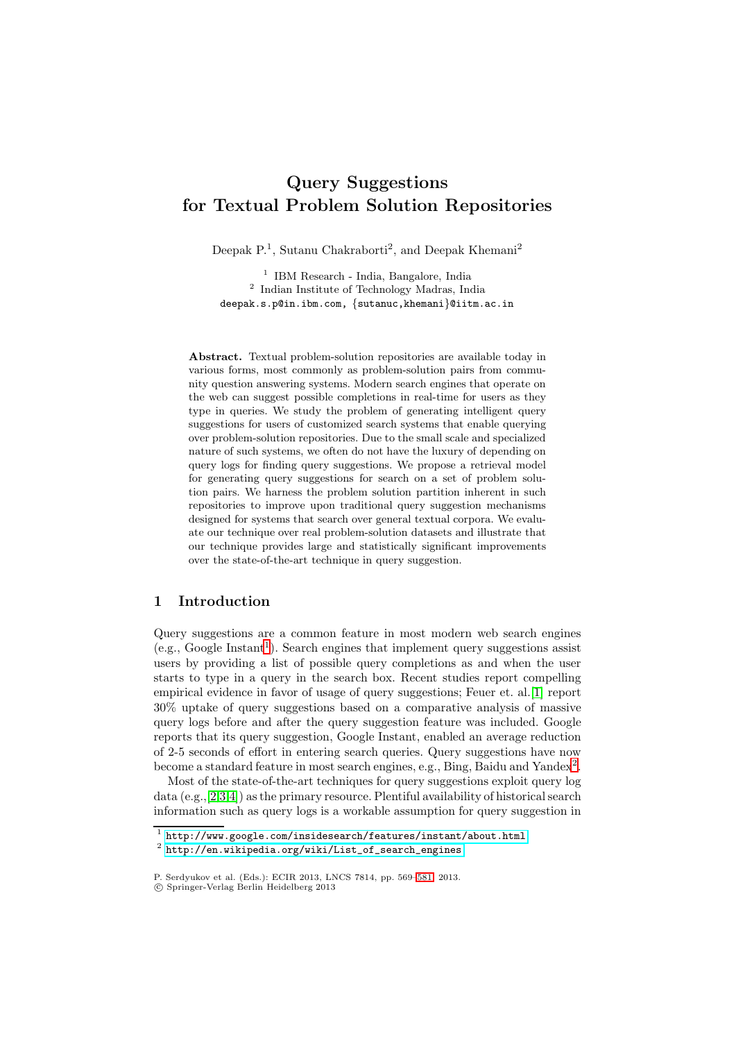# **Query Suggestions for Textual Problem Solution Repositories**

Deepak P.<sup>1</sup>, Sutanu Chakraborti<sup>2</sup>, and Deepak Khemani<sup>2</sup>

<sup>1</sup> IBM Research - India, Bangalore, India <sup>2</sup> Indian Institute of Technology Madras, India deepak.s.p@in.ibm.com, {sutanuc,khemani}@iitm.ac.in

**Abstract.** Textual problem-solution repositories are available today in various forms, most commonly as problem-solution pairs from community question answering systems. Modern search engines that operate on the web can suggest possible completions in real-time for users as they type in queries. We study the problem of generating intelligent query suggestions for users of customized search systems that enable querying over problem-solution repositories. Due to the small scale and specialized nature of such systems, we often do not have the luxury of depending on query logs for finding query suggestions. We propose a retrieval model for generating query suggestions for search on a set of problem solution pairs. We harness the problem solution partition inherent in such repositories to improve upon traditional query suggestion mechanisms designed for systems that search over general textual corpora. We evaluate our technique over real problem-solution datasets and illustrate that our technique provides large and statistically significant improvements over the state-of-the-art technique in query suggestion.

# **1 Introduction**

Query suggestions are a common feature in most modern web search engines  $(e.g., Google Instant<sup>1</sup>)$  $(e.g., Google Instant<sup>1</sup>)$  $(e.g., Google Instant<sup>1</sup>)$ . Search engines that implement query suggestions assisted users by providing a list of possible query completions as and when the user starts to type in a query in the search box. Recent studies report compelling empirical evidence in favor of usage of query suggestions; Feuer et. al.[\[1\]](#page-11-0) report 30% uptake of query suggestions based on a comparative analysis of massive query logs before and after the query suggestion feature was included. Google reports that its query suggestion, Google Instant, enabled an average reduction of 2-5 seconds of effort in entering search queries. Query suggestions have now become a standard feature in most search engines, e.g., Bing, Baidu and Yandex[2](#page-0-1).

Most of the state-of-the-art techniques for query suggestions exploit query log data (e.g.,[\[2,](#page-11-1)[3,](#page-11-2)[4\]](#page-11-3)) as the primary resource. Plentiful availability of historical search information such as query logs is a workable assumption for query suggestion in

<sup>1</sup> [http://www.google.com/insidesearch/features/instant/about.html](http://www.google.com/insidesearch/features/ instant/about.html)

<span id="page-0-0"></span><sup>2</sup> [http://en.wikipedia.org/wiki/List\\_of\\_search\\_engines](http://en.wikipedia.org/wiki/ List_of_search_engines)

<span id="page-0-1"></span>P. Serdyukov et al. (Eds.): ECIR 2013, LNCS 7814, pp. 569[–581,](#page-11-4) 2013.

<sup>-</sup>c Springer-Verlag Berlin Heidelberg 2013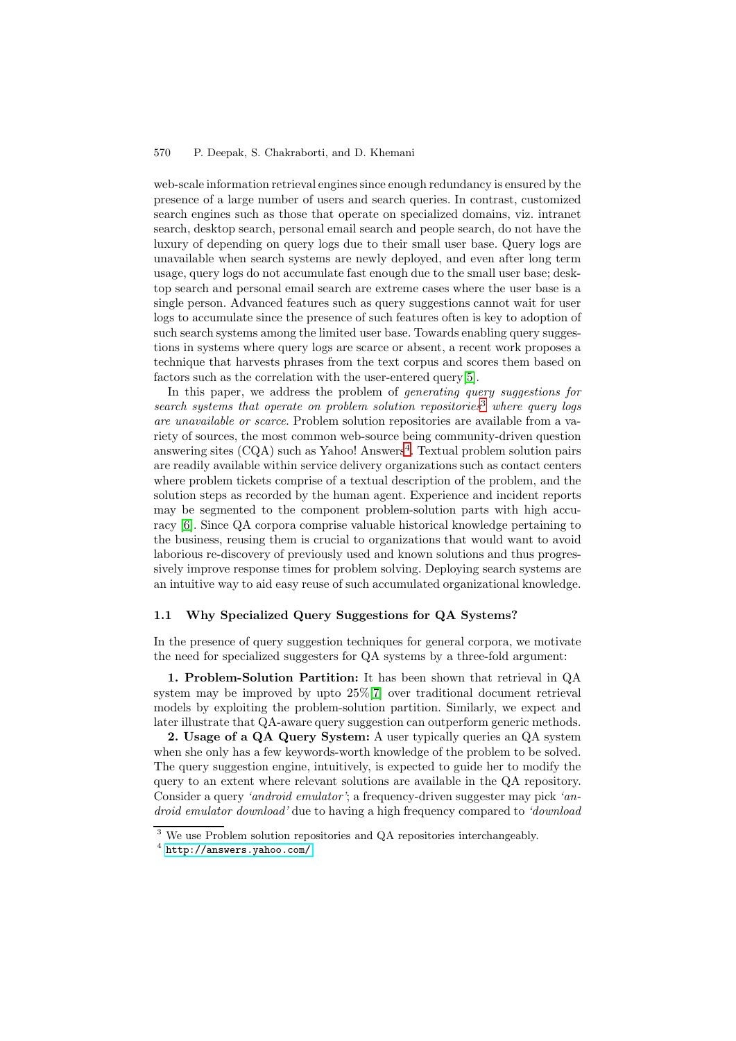web-scale information retrieval engines since enough redundancy is ensured by the presence of a large number of users and search queries. In contrast, customized search engines such as those that operate on specialized domains, viz. intranet search, desktop search, personal email search and people search, do not have the luxury of depending on query logs due to their small user base. Query logs are unavailable when search systems are newly deployed, and even after long term usage, query logs do not accumulate fast enough due to the small user base; desktop search and personal email search are extreme cases where the user base is a single person. Advanced features such as query suggestions cannot wait for user logs to accumulate since the presence of such features often is key to adoption of such search systems among the limited user base. Towards enabling query suggestions in systems where query logs are scarce or absent, a recent work proposes a technique that harvests phrases from the text corpus and scores them based on factors such as the correlation with the user-entered query[\[5\]](#page-11-5).

In this paper, we address the problem of *generating query suggestions for search systems that operate on problem solution repositories*[3](#page-1-0) *where query logs are unavailable or scarce*. Problem solution repositories are available from a variety of sources, the most common web-source being community-driven question answering sites  $(CQA)$  such as Yahoo! Answers<sup>[4](#page-1-1)</sup>. Textual problem solution pairs are readily available within service delivery organizations such as contact centers where problem tickets comprise of a textual description of the problem, and the solution steps as recorded by the human agent. Experience and incident reports may be segmented to the component problem-solution parts with high accuracy [\[6\]](#page-11-6). Since QA corpora comprise valuable historical knowledge pertaining to the business, reusing them is crucial to organizations that would want to avoid laborious re-discovery of previously used and known solutions and thus progressively improve response times for problem solving. Deploying search systems are an intuitive way to aid easy reuse of such accumulated organizational knowledge.

## <span id="page-1-2"></span>**1.1 Why Specialized Query Suggestions for QA Systems?**

In the presence of query suggestion techniques for general corpora, we motivate the need for specialized suggesters for QA systems by a three-fold argument:

**1. Problem-Solution Partition:** It has been shown that retrieval in QA system may be improved by upto 25%[\[7\]](#page-11-7) over traditional document retrieval models by exploiting the problem-solution partition. Similarly, we expect and later illustrate that QA-aware query suggestion can outperform generic methods.

**2. Usage of a QA Query System:** A user typically queries an QA system when she only has a few keywords-worth knowledge of the problem to be solved. The query suggestion engine, intuitively, is expected to guide her to modify the query to an extent where relevant solutions are available in the QA repository. Consider a query *'android emulator'*; a frequency-driven suggester may pick *'android emulator download'* due to having a high frequency compared to *'download*

 $^3$  We use Problem solution repositories and QA repositories interchangeably.

<span id="page-1-1"></span><span id="page-1-0"></span><sup>4</sup> <http://answers.yahoo.com/>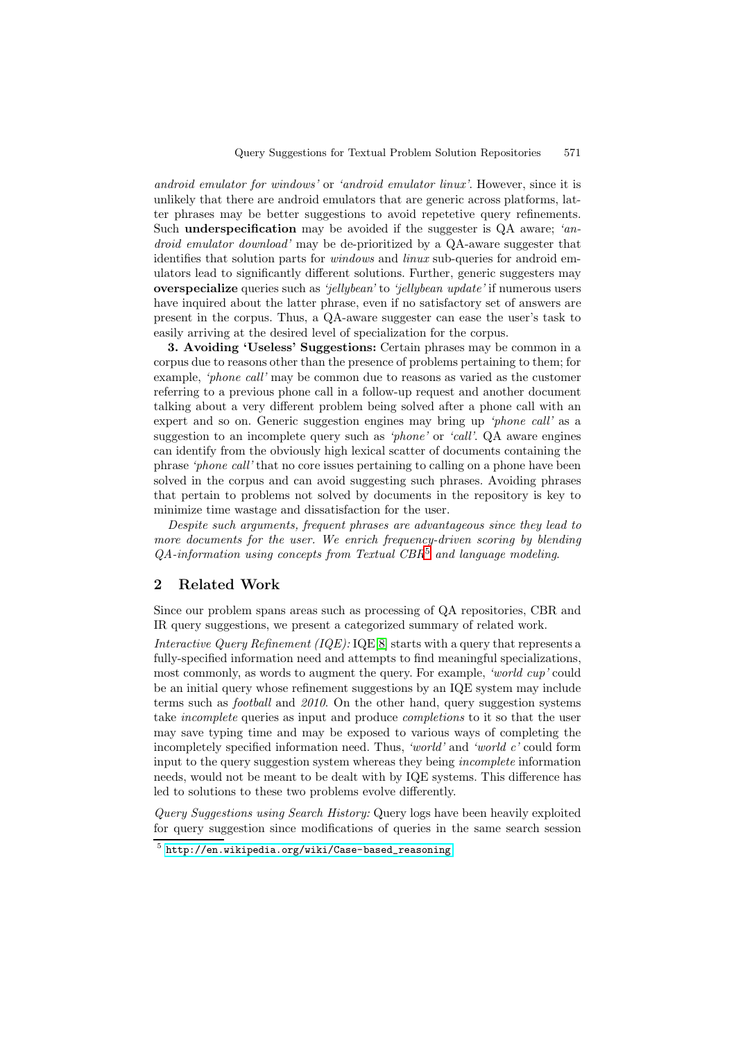*android emulator for windows'* or *'android emulator linux'*. However, since it is unlikely that there are android emulators that are generic across platforms, latter phrases may be better suggestions to avoid repetetive query refinements. Such **underspecification** may be avoided if the suggester is QA aware; *'android emulator download'* may be de-prioritized by a QA-aware suggester that identifies that solution parts for *windows* and *linux* sub-queries for android emulators lead to significantly different solutions. Further, generic suggesters may **overspecialize** queries such as *'jellybean'* to *'jellybean update'* if numerous users have inquired about the latter phrase, even if no satisfactory set of answers are present in the corpus. Thus, a QA-aware suggester can ease the user's task to easily arriving at the desired level of specialization for the corpus.

**3. Avoiding 'Useless' Suggestions:** Certain phrases may be common in a corpus due to reasons other than the presence of problems pertaining to them; for example, *'phone call'* may be common due to reasons as varied as the customer referring to a previous phone call in a follow-up request and another document talking about a very different problem being solved after a phone call with an expert and so on. Generic suggestion engines may bring up *'phone call'* as a suggestion to an incomplete query such as *'phone'* or *'call'*. QA aware engines can identify from the obviously high lexical scatter of documents containing the phrase *'phone call'* that no core issues pertaining to calling on a phone have been solved in the corpus and can avoid suggesting such phrases. Avoiding phrases that pertain to problems not solved by documents in the repository is key to minimize time wastage and dissatisfaction for the user.

*Despite such arguments, frequent phrases are advantageous since they lead to more documents for the user. We enrich frequency-driven scoring by blending QA-information using concepts from Textual CBR*[5](#page-2-0) *and language modeling*.

## **2 Related Work**

Since our problem spans areas such as processing of QA repositories, CBR and IR query suggestions, we present a categorized summary of related work.

*Interactive Query Refinement (IQE):* IQE[\[8\]](#page-11-8) starts with a query that represents a fully-specified information need and attempts to find meaningful specializations, most commonly, as words to augment the query. For example, *'world cup'* could be an initial query whose refinement suggestions by an IQE system may include terms such as *football* and *2010*. On the other hand, query suggestion systems take *incomplete* queries as input and produce *completions* to it so that the user may save typing time and may be exposed to various ways of completing the incompletely specified information need. Thus, *'world'* and *'world c'* could form input to the query suggestion system whereas they being *incomplete* information needs, would not be meant to be dealt with by IQE systems. This difference has led to solutions to these two problems evolve differently.

*Query Suggestions using Search History:* Query logs have been heavily exploited for query suggestion since modifications of queries in the same search session

<span id="page-2-0"></span> $5$  [http://en.wikipedia.org/wiki/Case-based\\_reasoning](http://en.wikipedia.org/wiki/Case-based_reasoning)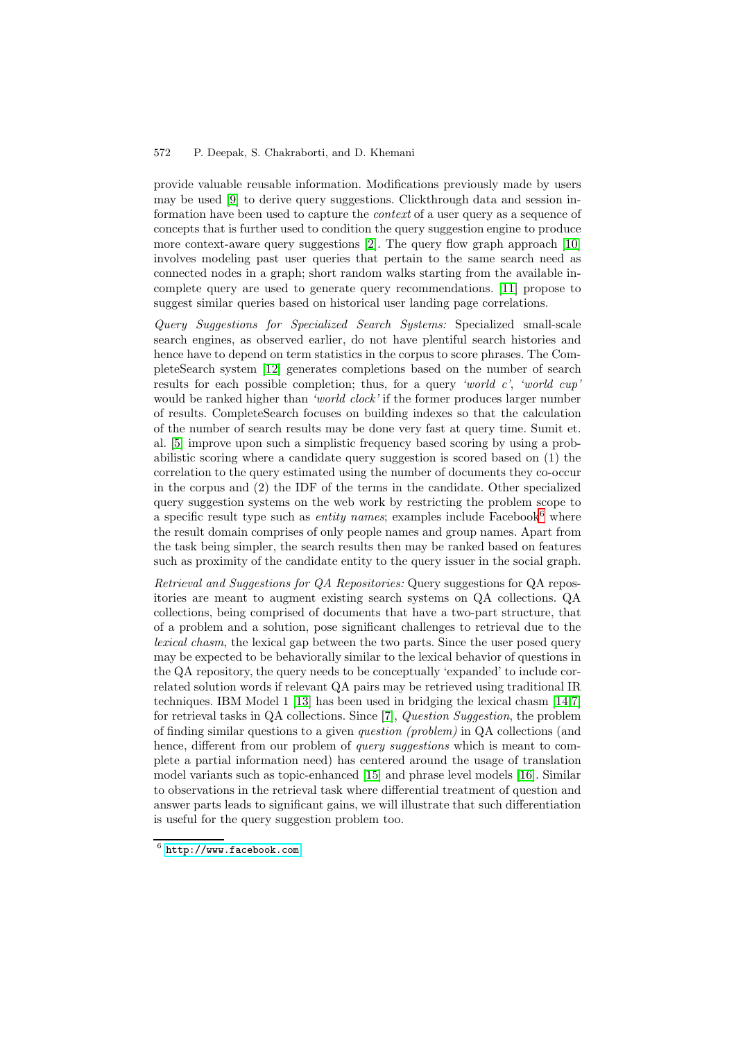provide valuable reusable information. Modifications previously made by users may be used [\[9\]](#page-11-9) to derive query suggestions. Clickthrough data and session information have been used to capture the *context* of a user query as a sequence of concepts that is further used to condition the query suggestion engine to produce more context-aware query suggestions [\[2\]](#page-11-1). The query flow graph approach [\[10\]](#page-11-10) involves modeling past user queries that pertain to the same search need as connected nodes in a graph; short random walks starting from the available incomplete query are used to generate query recommendations. [\[11\]](#page-11-11) propose to suggest similar queries based on historical user landing page correlations.

*Query Suggestions for Specialized Search Systems:* Specialized small-scale search engines, as observed earlier, do not have plentiful search histories and hence have to depend on term statistics in the corpus to score phrases. The CompleteSearch system [\[12\]](#page-11-12) generates completions based on the number of search results for each possible completion; thus, for a query *'world c'*, *'world cup'* would be ranked higher than *'world clock'* if the former produces larger number of results. CompleteSearch focuses on building indexes so that the calculation of the number of search results may be done very fast at query time. Sumit et. al. [\[5\]](#page-11-5) improve upon such a simplistic frequency based scoring by using a probabilistic scoring where a candidate query suggestion is scored based on (1) the correlation to the query estimated using the number of documents they co-occur in the corpus and (2) the IDF of the terms in the candidate. Other specialized query suggestion systems on the web work by restricting the problem scope to a specific result type such as *entity names*; examples include Facebook<sup>[6](#page-3-0)</sup> where the result domain comprises of only people names and group names. Apart from the task being simpler, the search results then may be ranked based on features such as proximity of the candidate entity to the query issuer in the social graph.

*Retrieval and Suggestions for QA Repositories:* Query suggestions for QA repositories are meant to augment existing search systems on QA collections. QA collections, being comprised of documents that have a two-part structure, that of a problem and a solution, pose significant challenges to retrieval due to the *lexical chasm*, the lexical gap between the two parts. Since the user posed query may be expected to be behaviorally similar to the lexical behavior of questions in the QA repository, the query needs to be conceptually 'expanded' to include correlated solution words if relevant QA pairs may be retrieved using traditional IR techniques. IBM Model 1 [\[13\]](#page-11-13) has been used in bridging the lexical chasm [\[14,](#page-11-14)[7\]](#page-11-7) for retrieval tasks in QA collections. Since [\[7\]](#page-11-7), *Question Suggestion*, the problem of finding similar questions to a given *question (problem)* in QA collections (and hence, different from our problem of *query suggestions* which is meant to complete a partial information need) has centered around the usage of translation model variants such as topic-enhanced [\[15\]](#page-11-15) and phrase level models [\[16\]](#page-11-16). Similar to observations in the retrieval task where differential treatment of question and answer parts leads to significant gains, we will illustrate that such differentiation is useful for the query suggestion problem too.

<span id="page-3-0"></span> $6$  <http://www.facebook.com>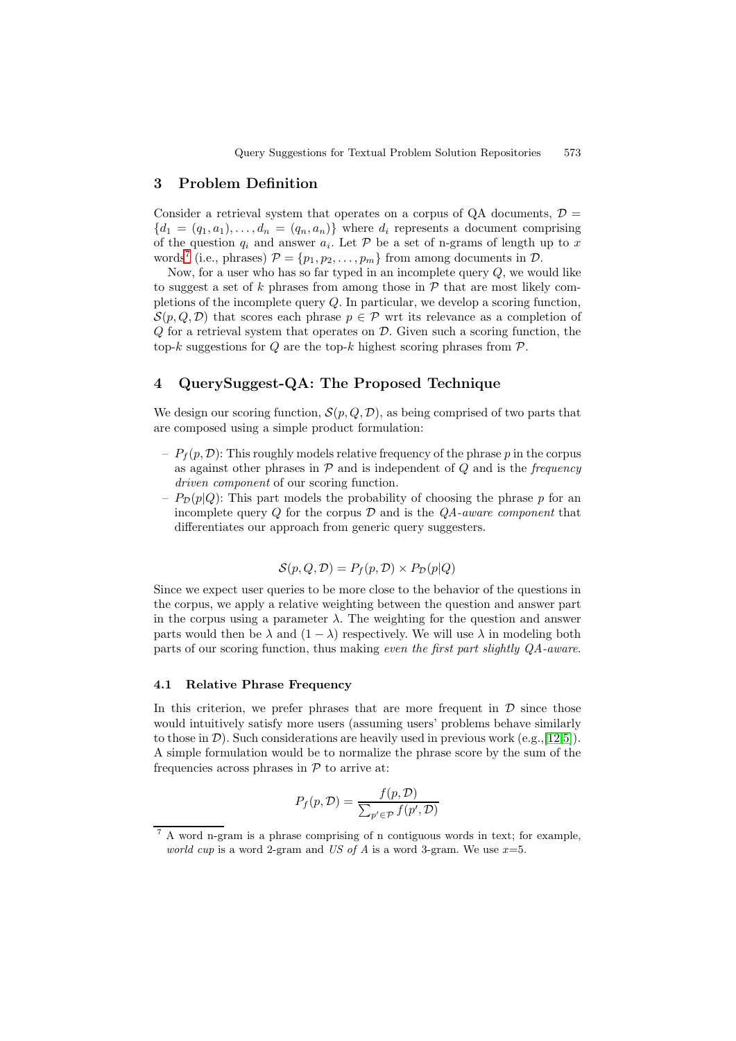## **3 Problem Definition**

Consider a retrieval system that operates on a corpus of QA documents,  $\mathcal{D} =$  ${d_1 = (q_1, a_1), \ldots, d_n = (q_n, a_n)}$  where  $d_i$  represents a document comprising of the question  $q_i$  and answer  $a_i$ . Let  $P$  be a set of n-grams of length up to x words<sup>[7](#page-4-0)</sup> (i.e., phrases)  $\mathcal{P} = \{p_1, p_2, \ldots, p_m\}$  from among documents in  $\mathcal{D}$ .

Now, for a user who has so far typed in an incomplete query  $Q$ , we would like to suggest a set of k phrases from among those in  $\mathcal P$  that are most likely completions of the incomplete query Q. In particular, we develop a scoring function,  $\mathcal{S}(p, Q, \mathcal{D})$  that scores each phrase  $p \in \mathcal{P}$  wrt its relevance as a completion of  $Q$  for a retrieval system that operates on  $D$ . Given such a scoring function, the top-k suggestions for Q are the top-k highest scoring phrases from  $P$ .

## <span id="page-4-1"></span>**4 QuerySuggest-QA: The Proposed Technique**

We design our scoring function,  $\mathcal{S}(p, Q, \mathcal{D})$ , as being comprised of two parts that are composed using a simple product formulation:

- $-P_f(p, \mathcal{D})$ : This roughly models relative frequency of the phrase p in the corpus as against other phrases in  $P$  and is independent of  $Q$  and is the *frequency driven component* of our scoring function.
- $P_{\mathcal{D}}(p|Q)$ : This part models the probability of choosing the phrase p for an incomplete query Q for the corpus D and is the *QA-aware component* that differentiates our approach from generic query suggesters.

$$
\mathcal{S}(p, Q, \mathcal{D}) = P_f(p, \mathcal{D}) \times P_{\mathcal{D}}(p|Q)
$$

Since we expect user queries to be more close to the behavior of the questions in the corpus, we apply a relative weighting between the question and answer part in the corpus using a parameter  $\lambda$ . The weighting for the question and answer parts would then be  $\lambda$  and  $(1 - \lambda)$  respectively. We will use  $\lambda$  in modeling both parts of our scoring function, thus making *even the first part slightly QA-aware*.

## **4.1 Relative Phrase Frequency**

In this criterion, we prefer phrases that are more frequent in  $\mathcal D$  since those would intuitively satisfy more users (assuming users' problems behave similarly to those in  $\mathcal{D}$ ). Such considerations are heavily used in previous work (e.g., [\[12,](#page-11-12)[5\]](#page-11-5)). A simple formulation would be to normalize the phrase score by the sum of the frequencies across phrases in  ${\mathcal P}$  to arrive at:

$$
P_f(p, \mathcal{D}) = \frac{f(p, \mathcal{D})}{\sum_{p' \in \mathcal{P}} f(p', \mathcal{D})}
$$

<span id="page-4-0"></span><sup>7</sup> A word n-gram is a phrase comprising of n contiguous words in text; for example, *world cup* is a word 2-gram and *US of A* is a word 3-gram. We use *x*=5.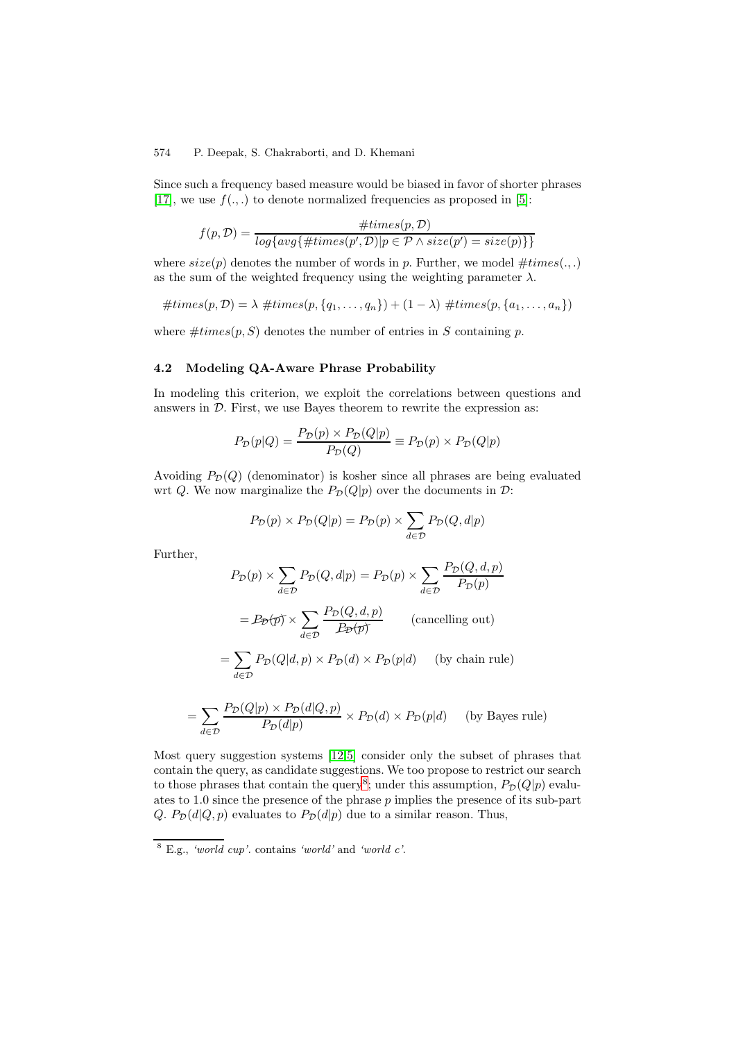Since such a frequency based measure would be biased in favor of shorter phrases [\[17\]](#page-11-17), we use  $f(.,.)$  to denote normalized frequencies as proposed in [\[5\]](#page-11-5):

$$
f(p, \mathcal{D}) = \frac{\# times(p, \mathcal{D})}{log{avg\{\# times(p', \mathcal{D}) | p \in \mathcal{P} \land size(p') = size(p)\}}}
$$

where  $size(p)$  denotes the number of words in p. Further, we model  $\#times(.,.)$ as the sum of the weighted frequency using the weighting parameter  $\lambda$ .

$$
\#times(p, \mathcal{D}) = \lambda \#times(p, \{q_1, \ldots, q_n\}) + (1 - \lambda) \#times(p, \{a_1, \ldots, a_n\})
$$

where  $\#times(p, S)$  denotes the number of entries in S containing p.

### **4.2 Modeling QA-Aware Phrase Probability**

In modeling this criterion, we exploit the correlations between questions and answers in  $D$ . First, we use Bayes theorem to rewrite the expression as:

$$
P_{\mathcal{D}}(p|Q) = \frac{P_{\mathcal{D}}(p) \times P_{\mathcal{D}}(Q|p)}{P_{\mathcal{D}}(Q)} \equiv P_{\mathcal{D}}(p) \times P_{\mathcal{D}}(Q|p)
$$

Avoiding  $P_{\mathcal{D}}(Q)$  (denominator) is kosher since all phrases are being evaluated wrt Q. We now marginalize the  $P_{\mathcal{D}}(Q|p)$  over the documents in  $\mathcal{D}$ :

$$
P_{\mathcal{D}}(p) \times P_{\mathcal{D}}(Q|p) = P_{\mathcal{D}}(p) \times \sum_{d \in \mathcal{D}} P_{\mathcal{D}}(Q, d|p)
$$

Further,

$$
P_{\mathcal{D}}(p) \times \sum_{d \in \mathcal{D}} P_{\mathcal{D}}(Q, d|p) = P_{\mathcal{D}}(p) \times \sum_{d \in \mathcal{D}} \frac{P_{\mathcal{D}}(Q, d, p)}{P_{\mathcal{D}}(p)}
$$

$$
= P_{\mathcal{D}}(p) \times \sum_{d \in \mathcal{D}} \frac{P_{\mathcal{D}}(Q, d, p)}{P_{\mathcal{D}}(p)} \qquad \text{(cancelling out)}
$$

$$
= \sum_{d \in \mathcal{D}} P_{\mathcal{D}}(Q|d, p) \times P_{\mathcal{D}}(d) \times P_{\mathcal{D}}(p|d) \qquad \text{(by chain rule)}
$$

$$
= \sum_{d \in \mathcal{D}} \frac{P_{\mathcal{D}}(Q|p) \times P_{\mathcal{D}}(d|Q, p)}{P_{\mathcal{D}}(d|p)} \times P_{\mathcal{D}}(d) \times P_{\mathcal{D}}(p|d) \quad \text{(by Bayes rule)}
$$

Most query suggestion systems [\[12,](#page-11-12)[5\]](#page-11-5) consider only the subset of phrases that contain the query, as candidate suggestions. We too propose to restrict our search to those phrases that contain the query<sup>[8](#page-5-0)</sup>; under this assumption,  $P_{\mathcal{D}}(Q|p)$  evaluates to 1.0 since the presence of the phrase  $p$  implies the presence of its sub-part Q.  $P_{\mathcal{D}}(d|Q, p)$  evaluates to  $P_{\mathcal{D}}(d|p)$  due to a similar reason. Thus,

<span id="page-5-0"></span><sup>8</sup> E.g., *'world cup'.* contains *'world'* and *'world c'*.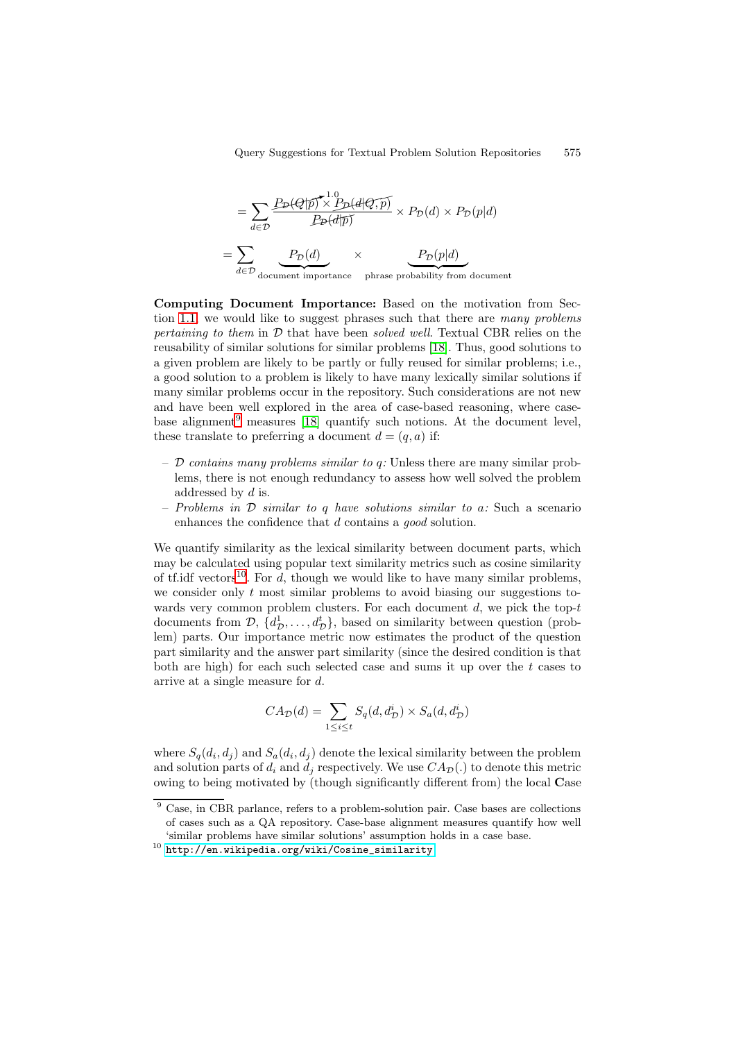$$
= \sum_{d \in \mathcal{D}} \frac{P_D(Q|p) \times P_D(d|Q,p)}{P_D(d|p)} \times P_D(d) \times P_D(p|d)
$$

$$
= \sum_{d \in \mathcal{D}} \underbrace{P_D(d)}_{\text{document importance}}
$$
phrase probability from document

**Computing Document Importance:** Based on the motivation from Section [1.1,](#page-1-2) we would like to suggest phrases such that there are *many problems pertaining to them* in D that have been *solved well*. Textual CBR relies on the reusability of similar solutions for similar problems [\[18\]](#page-11-18). Thus, good solutions to a given problem are likely to be partly or fully reused for similar problems; i.e., a good solution to a problem is likely to have many lexically similar solutions if many similar problems occur in the repository. Such considerations are not new and have been well explored in the area of case-based reasoning, where case-base alignment<sup>[9](#page-6-0)</sup> measures [\[18\]](#page-11-18) quantify such notions. At the document level, these translate to preferring a document  $d = (q, a)$  if:

- D *contains many problems similar to* q*:* Unless there are many similar problems, there is not enough redundancy to assess how well solved the problem addressed by d is.
- *Problems in* D *similar to* q *have solutions similar to* a*:* Such a scenario enhances the confidence that d contains a *good* solution.

We quantify similarity as the lexical similarity between document parts, which may be calculated using popular text similarity metrics such as cosine similarity of tf.idf vectors<sup>[10](#page-6-1)</sup>. For d, though we would like to have many similar problems, we consider only  $t$  most similar problems to avoid biasing our suggestions towards very common problem clusters. For each document  $d$ , we pick the top- $t$ documents from  $\mathcal{D}, \{d^1_{\mathcal{D}}, \ldots, d^t_{\mathcal{D}}\}$ , based on similarity between question (problem) parts. Our importance metric now estimates the product of the question part similarity and the answer part similarity (since the desired condition is that both are high) for each such selected case and sums it up over the  $t$  cases to arrive at a single measure for d.

$$
CA_{\mathcal{D}}(d) = \sum_{1 \le i \le t} S_q(d, d_{\mathcal{D}}^i) \times S_a(d, d_{\mathcal{D}}^i)
$$

where  $S_q(d_i, d_j)$  and  $S_q(d_i, d_j)$  denote the lexical similarity between the problem and solution parts of  $d_i$  and  $d_j$  respectively. We use  $CA_{\mathcal{D}}(.)$  to denote this metric owing to being motivated by (though significantly different from) the local **C**ase

<span id="page-6-0"></span><sup>9</sup> Case, in CBR parlance, refers to a problem-solution pair. Case bases are collections of cases such as a QA repository. Case-base alignment measures quantify how well 'similar problems have similar solutions' assumption holds in a case base.

<span id="page-6-1"></span> $^{10}$ [http://en.wikipedia.org/wiki/Cosine\\_similarity](http://en.wikipedia.org/wiki/Cosine_similarity)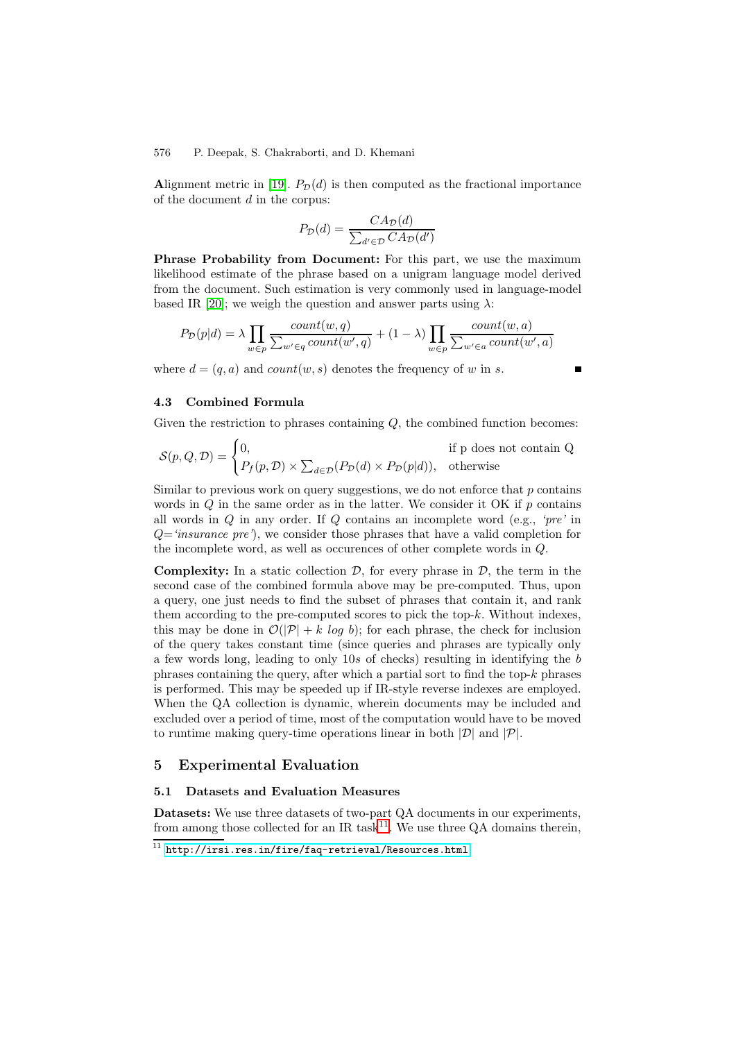**A**lignment metric in [\[19\]](#page-12-0).  $P_{\mathcal{D}}(d)$  is then computed as the fractional importance of the document  $d$  in the corpus:

$$
P_{\mathcal{D}}(d) = \frac{CA_{\mathcal{D}}(d)}{\sum_{d' \in \mathcal{D}} CA_{\mathcal{D}}(d')}
$$

**Phrase Probability from Document:** For this part, we use the maximum likelihood estimate of the phrase based on a unigram language model derived from the document. Such estimation is very commonly used in language-model based IR [\[20\]](#page-12-1); we weigh the question and answer parts using  $\lambda$ :

$$
P_{\mathcal{D}}(p|d) = \lambda \prod_{w \in p} \frac{count(w, q)}{\sum_{w' \in q} count(w', q)} + (1 - \lambda) \prod_{w \in p} \frac{count(w, a)}{\sum_{w' \in a} count(w', a)}
$$

where  $d = (q, a)$  and  $count(w, s)$  denotes the frequency of w in s.

#### **4.3 Combined Formula**

Given the restriction to phrases containing  $Q$ , the combined function becomes:

$$
\mathcal{S}(p,Q,\mathcal{D}) = \begin{cases} 0, & \text{if p does not contain Q} \\ P_f(p,\mathcal{D}) \times \sum_{d \in \mathcal{D}} (P_{\mathcal{D}}(d) \times P_{\mathcal{D}}(p|d)), & \text{otherwise} \end{cases}
$$

Similar to previous work on query suggestions, we do not enforce that  $p$  contains words in  $Q$  in the same order as in the latter. We consider it OK if  $p$  contains all words in Q in any order. If Q contains an incomplete word (e.g., *'pre'* in Q=*'insurance pre'*), we consider those phrases that have a valid completion for the incomplete word, as well as occurences of other complete words in Q.

**Complexity:** In a static collection  $D$ , for every phrase in  $D$ , the term in the second case of the combined formula above may be pre-computed. Thus, upon a query, one just needs to find the subset of phrases that contain it, and rank them according to the pre-computed scores to pick the top-k. Without indexes, this may be done in  $\mathcal{O}(|\mathcal{P}| + k \log b)$ ; for each phrase, the check for inclusion of the query takes constant time (since queries and phrases are typically only a few words long, leading to only 10s of checks) resulting in identifying the b phrases containing the query, after which a partial sort to find the top- $k$  phrases is performed. This may be speeded up if IR-style reverse indexes are employed. When the QA collection is dynamic, wherein documents may be included and excluded over a period of time, most of the computation would have to be moved to runtime making query-time operations linear in both  $|\mathcal{D}|$  and  $|\mathcal{P}|$ .

## **5 Experimental Evaluation**

## **5.1 Datasets and Evaluation Measures**

**Datasets:** We use three datasets of two-part QA documents in our experiments, from among those collected for an IR task<sup>[11](#page-7-0)</sup>. We use three QA domains therein,

<span id="page-7-0"></span> $\frac{11 \text{ http://irsi.res.in/fire/faq-retrieval/Resources.html}}{$  $\frac{11 \text{ http://irsi.res.in/fire/faq-retrieval/Resources.html}}{$  $\frac{11 \text{ http://irsi.res.in/fire/faq-retrieval/Resources.html}}{$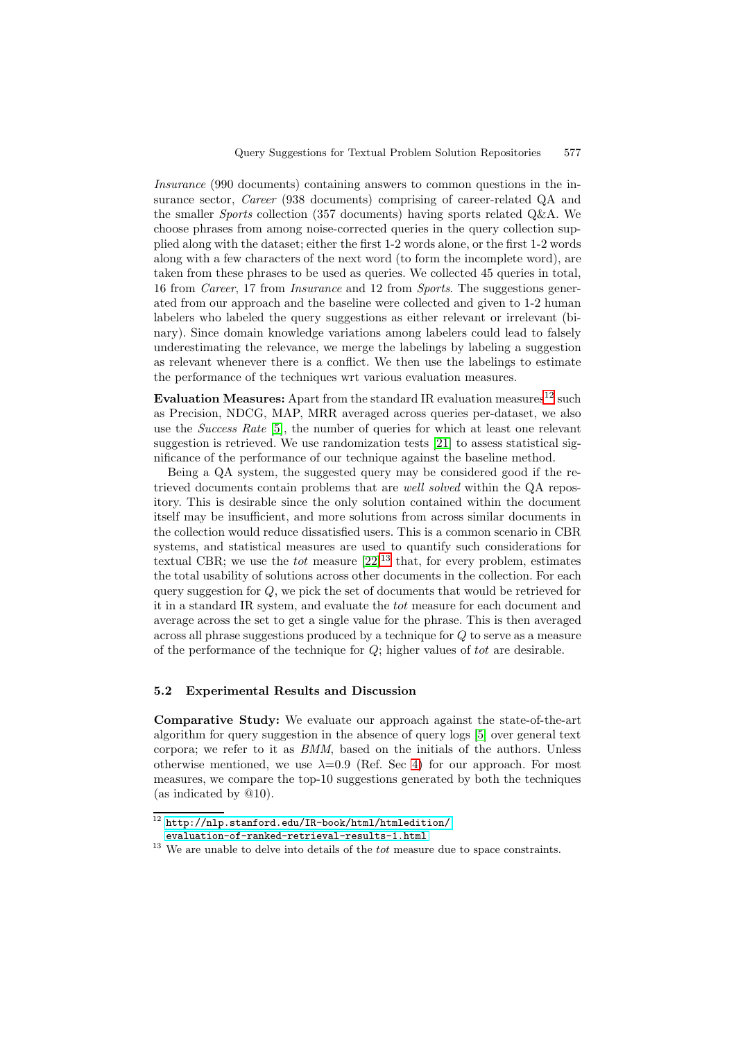*Insurance* (990 documents) containing answers to common questions in the insurance sector, *Career* (938 documents) comprising of career-related QA and the smaller *Sports* collection (357 documents) having sports related Q&A. We choose phrases from among noise-corrected queries in the query collection supplied along with the dataset; either the first 1-2 words alone, or the first 1-2 words along with a few characters of the next word (to form the incomplete word), are taken from these phrases to be used as queries. We collected 45 queries in total, 16 from *Career*, 17 from *Insurance* and 12 from *Sports*. The suggestions generated from our approach and the baseline were collected and given to 1-2 human labelers who labeled the query suggestions as either relevant or irrelevant (binary). Since domain knowledge variations among labelers could lead to falsely underestimating the relevance, we merge the labelings by labeling a suggestion as relevant whenever there is a conflict. We then use the labelings to estimate the performance of the techniques wrt various evaluation measures.

**Evaluation Measures:** Apart from the standard IR evaluation measures<sup>[12](#page-8-0)</sup> such as Precision, NDCG, MAP, MRR averaged across queries per-dataset, we also use the *Success Rate* [\[5\]](#page-11-5), the number of queries for which at least one relevant suggestion is retrieved. We use randomization tests [\[21\]](#page-12-2) to assess statistical significance of the performance of our technique against the baseline method.

Being a QA system, the suggested query may be considered good if the retrieved documents contain problems that are *well solved* within the QA repository. This is desirable since the only solution contained within the document itself may be insufficient, and more solutions from across similar documents in the collection would reduce dissatisfied users. This is a common scenario in CBR systems, and statistical measures are used to quantify such considerations for textual CBR; we use the *tot* measure  $[22]^{13}$  $[22]^{13}$  $[22]^{13}$  $[22]^{13}$  that, for every problem, estimates the total usability of solutions across other documents in the collection. For each query suggestion for Q, we pick the set of documents that would be retrieved for it in a standard IR system, and evaluate the tot measure for each document and average across the set to get a single value for the phrase. This is then averaged across all phrase suggestions produced by a technique for Q to serve as a measure of the performance of the technique for Q; higher values of tot are desirable.

## **5.2 Experimental Results and Discussion**

**Comparative Study:** We evaluate our approach against the state-of-the-art algorithm for query suggestion in the absence of query logs [\[5\]](#page-11-5) over general text corpora; we refer to it as *BMM*, based on the initials of the authors. Unless otherwise mentioned, we use  $\lambda=0.9$  (Ref. Sec [4\)](#page-4-1) for our approach. For most measures, we compare the top-10 suggestions generated by both the techniques (as indicated by @10).

<span id="page-8-0"></span><sup>12</sup> [http://nlp.stanford.edu/IR-book/html/htmledition/](http://nlp.stanford.edu/IR-book/html/htmledition/evaluation-of-ranked-retrieval-results-1.html) [evaluation-of-ranked-retrieval-results-1.html](http://nlp.stanford.edu/IR-book/html/htmledition/evaluation-of-ranked-retrieval-results-1.html)

<span id="page-8-1"></span><sup>13</sup> We are unable to delve into details of the *tot* measure due to space constraints.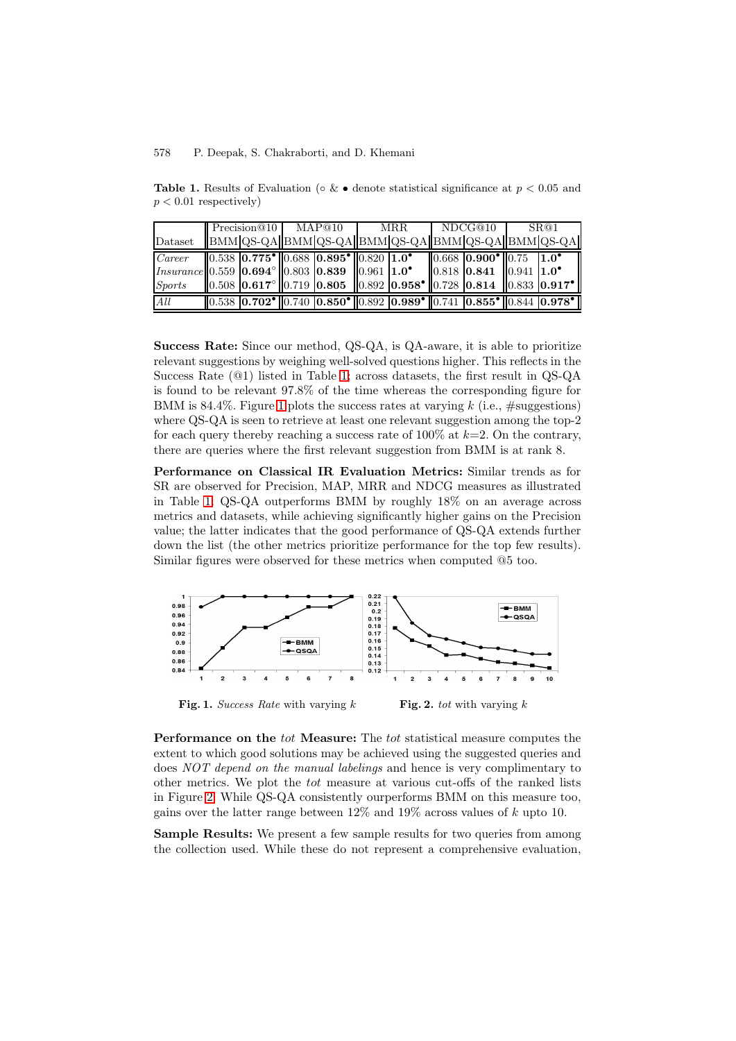<span id="page-9-0"></span>**Table 1.** Results of Evaluation (◦ & • denote statistical significance at *p <* <sup>0</sup>*.*05 and  $p < 0.01$  respectively)

|                                                                                                                    | $Precision@10$ $MAP@10$ |                                                                                                                                                                             | MRR. | NDCG@10                                                            | SR@1 |
|--------------------------------------------------------------------------------------------------------------------|-------------------------|-----------------------------------------------------------------------------------------------------------------------------------------------------------------------------|------|--------------------------------------------------------------------|------|
| Dataset                                                                                                            |                         | BMM QS-QA  BMM QS-QA  BMM QS-QA  BMM QS-QA  BMM QS-QA                                                                                                                       |      |                                                                    |      |
| Career                                                                                                             |                         | $\parallel$ 0.538 <b>0.775</b> $\parallel$ 0.688 <b>0.895</b> $\parallel$ 0.820 $\parallel$ 1.0 <sup>°</sup>                                                                |      | $\big  0.668 \big  0.900^{\bullet} \big  0.75 \big  1.0^{\bullet}$ |      |
| $\left  \frac{Insurance}{0.559} \right  0.694^{\circ} \left  0.803 \right  0.839 \left  0.961 \right  1.0^{\circ}$ |                         |                                                                                                                                                                             |      | $\big  0.818 \big  0.841 \big  0.941 \big  1.0^{\bullet}$          |      |
| <i>Sports</i>                                                                                                      |                         | $\parallel 0.508 \mid 0.617^{\circ} \parallel 0.719 \mid 0.805 \parallel 0.892 \mid 0.958^{\circ} \parallel 0.728 \mid 0.814 \parallel 0.833 \mid 0.917^{\circ} \parallel$  |      |                                                                    |      |
| All                                                                                                                |                         | $\parallel 0.538 \mid 0.702^{\bullet} \mid 0.740 \mid 0.850^{\bullet} \mid 0.892 \mid 0.989^{\bullet} \mid 0.741 \mid 0.855^{\bullet} \mid 0.844 \mid 0.978^{\bullet} \mid$ |      |                                                                    |      |

**Success Rate:** Since our method, QS-QA, is QA-aware, it is able to prioritize relevant suggestions by weighing well-solved questions higher. This reflects in the Success Rate (@1) listed in Table [1;](#page-9-0) across datasets, the first result in QS-QA is found to be relevant 97.8% of the time whereas the corresponding figure for BMM is 84.4%. Figure [1](#page-9-1) plots the success rates at varying  $k$  (i.e., #suggestions) where QS-QA is seen to retrieve at least one relevant suggestion among the top-2 for each query thereby reaching a success rate of 100% at  $k=2$ . On the contrary, there are queries where the first relevant suggestion from BMM is at rank 8.

**Performance on Classical IR Evaluation Metrics:** Similar trends as for SR are observed for Precision, MAP, MRR and NDCG measures as illustrated in Table [1.](#page-9-0) QS-QA outperforms BMM by roughly 18% on an average across metrics and datasets, while achieving significantly higher gains on the Precision value; the latter indicates that the good performance of QS-QA extends further down the list (the other metrics prioritize performance for the top few results). Similar figures were observed for these metrics when computed @5 too.



<span id="page-9-1"></span>**Fig. 1.** *Success Rate* with varying *<sup>k</sup>* **Fig. 2.** *tot* with varying *<sup>k</sup>*

<span id="page-9-2"></span>

**Performance on the** tot **Measure:** The tot statistical measure computes the extent to which good solutions may be achieved using the suggested queries and does *NOT depend on the manual labelings* and hence is very complimentary to other metrics. We plot the tot measure at various cut-offs of the ranked lists in Figure [2.](#page-9-2) While QS-QA consistently ourperforms BMM on this measure too, gains over the latter range between  $12\%$  and  $19\%$  across values of k upto 10.

**Sample Results:** We present a few sample results for two queries from among the collection used. While these do not represent a comprehensive evaluation,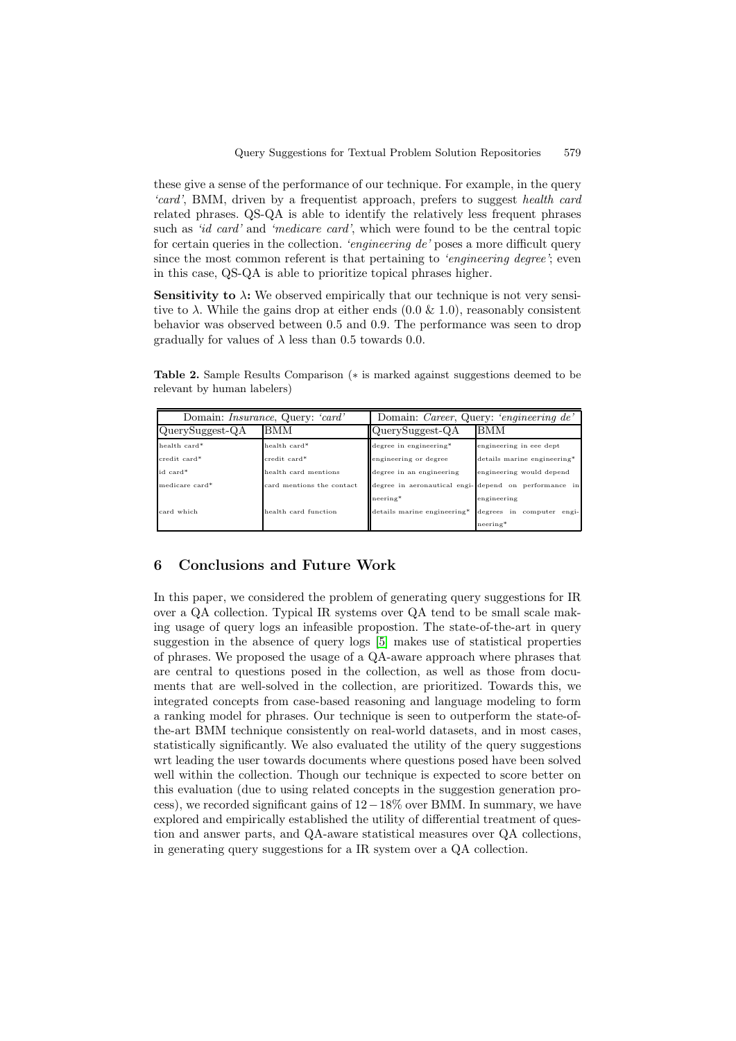these give a sense of the performance of our technique. For example, in the query *'card'*, BMM, driven by a frequentist approach, prefers to suggest *health card* related phrases. QS-QA is able to identify the relatively less frequent phrases such as *'id card'* and *'medicare card'*, which were found to be the central topic for certain queries in the collection. *'engineering de'* poses a more difficult query since the most common referent is that pertaining to *'engineering degree'*; even in this case, QS-QA is able to prioritize topical phrases higher.

**Sensitivity to**  $\lambda$ **: We observed empirically that our technique is not very sensi**tive to  $\lambda$ . While the gains drop at either ends  $(0.0 \& 1.0)$ , reasonably consistent behavior was observed between 0.5 and 0.9. The performance was seen to drop gradually for values of  $\lambda$  less than 0.5 towards 0.0.

**Table 2.** Sample Results Comparison (<sup>∗</sup> is marked against suggestions deemed to be relevant by human labelers)

|                 | Domain: <i>Insurance</i> , Query: <i>'card'</i> | Domain: Career, Query: 'engineering de'              |                             |  |  |  |
|-----------------|-------------------------------------------------|------------------------------------------------------|-----------------------------|--|--|--|
| QuerySuggest-QA | BMM                                             | $QuerySuggest-QA$                                    | <b>BMM</b>                  |  |  |  |
| health card*    | health card*                                    | degree in engineering*                               | engineering in eee dept     |  |  |  |
| credit card*    | credit card*                                    | engineering or degree                                | details marine engineering* |  |  |  |
| id card*        | health card mentions                            | degree in an engineering                             | engineering would depend    |  |  |  |
| medicare card*  | card mentions the contact                       | degree in aeronautical engi-depend on performance in |                             |  |  |  |
|                 |                                                 | $neerine*$                                           | engineering                 |  |  |  |
| card which      | health card function                            | details marine engineering*                          | degrees in computer engi-   |  |  |  |
|                 |                                                 |                                                      | $neering*$                  |  |  |  |

# **6 Conclusions and Future Work**

In this paper, we considered the problem of generating query suggestions for IR over a QA collection. Typical IR systems over QA tend to be small scale making usage of query logs an infeasible propostion. The state-of-the-art in query suggestion in the absence of query logs [\[5\]](#page-11-5) makes use of statistical properties of phrases. We proposed the usage of a QA-aware approach where phrases that are central to questions posed in the collection, as well as those from documents that are well-solved in the collection, are prioritized. Towards this, we integrated concepts from case-based reasoning and language modeling to form a ranking model for phrases. Our technique is seen to outperform the state-ofthe-art BMM technique consistently on real-world datasets, and in most cases, statistically significantly. We also evaluated the utility of the query suggestions wrt leading the user towards documents where questions posed have been solved well within the collection. Though our technique is expected to score better on this evaluation (due to using related concepts in the suggestion generation process), we recorded significant gains of 12−18% over BMM. In summary, we have explored and empirically established the utility of differential treatment of question and answer parts, and QA-aware statistical measures over QA collections, in generating query suggestions for a IR system over a QA collection.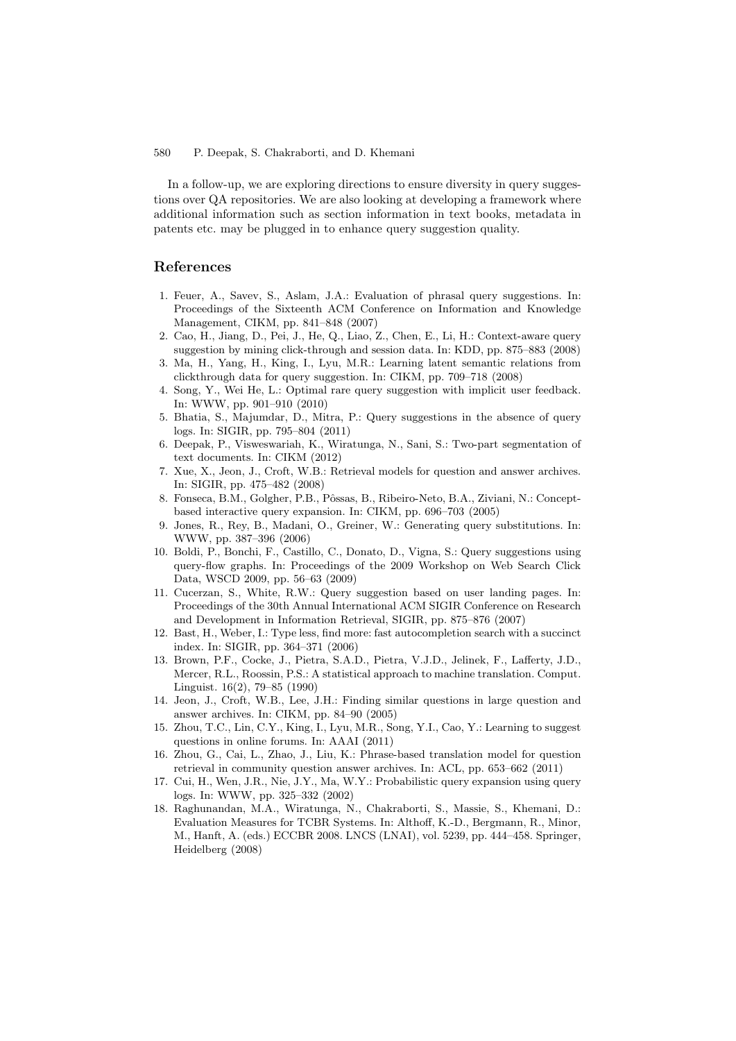In a follow-up, we are exploring directions to ensure diversity in query suggestions over QA repositories. We are also looking at developing a framework where additional information such as section information in text books, metadata in patents etc. may be plugged in to enhance query suggestion quality.

## <span id="page-11-4"></span><span id="page-11-0"></span>**References**

- 1. Feuer, A., Savev, S., Aslam, J.A.: Evaluation of phrasal query suggestions. In: Proceedings of the Sixteenth ACM Conference on Information and Knowledge Management, CIKM, pp. 841–848 (2007)
- <span id="page-11-1"></span>2. Cao, H., Jiang, D., Pei, J., He, Q., Liao, Z., Chen, E., Li, H.: Context-aware query suggestion by mining click-through and session data. In: KDD, pp. 875–883 (2008)
- <span id="page-11-2"></span>3. Ma, H., Yang, H., King, I., Lyu, M.R.: Learning latent semantic relations from clickthrough data for query suggestion. In: CIKM, pp. 709–718 (2008)
- <span id="page-11-3"></span>4. Song, Y., Wei He, L.: Optimal rare query suggestion with implicit user feedback. In: WWW, pp. 901–910 (2010)
- <span id="page-11-5"></span>5. Bhatia, S., Majumdar, D., Mitra, P.: Query suggestions in the absence of query logs. In: SIGIR, pp. 795–804 (2011)
- <span id="page-11-6"></span>6. Deepak, P., Visweswariah, K., Wiratunga, N., Sani, S.: Two-part segmentation of text documents. In: CIKM (2012)
- <span id="page-11-7"></span>7. Xue, X., Jeon, J., Croft, W.B.: Retrieval models for question and answer archives. In: SIGIR, pp. 475–482 (2008)
- <span id="page-11-8"></span>8. Fonseca, B.M., Golgher, P.B., Pôssas, B., Ribeiro-Neto, B.A., Ziviani, N.: Conceptbased interactive query expansion. In: CIKM, pp. 696–703 (2005)
- <span id="page-11-9"></span>9. Jones, R., Rey, B., Madani, O., Greiner, W.: Generating query substitutions. In: WWW, pp. 387–396 (2006)
- <span id="page-11-10"></span>10. Boldi, P., Bonchi, F., Castillo, C., Donato, D., Vigna, S.: Query suggestions using query-flow graphs. In: Proceedings of the 2009 Workshop on Web Search Click Data, WSCD 2009, pp. 56–63 (2009)
- <span id="page-11-11"></span>11. Cucerzan, S., White, R.W.: Query suggestion based on user landing pages. In: Proceedings of the 30th Annual International ACM SIGIR Conference on Research and Development in Information Retrieval, SIGIR, pp. 875–876 (2007)
- <span id="page-11-12"></span>12. Bast, H., Weber, I.: Type less, find more: fast autocompletion search with a succinct index. In: SIGIR, pp. 364–371 (2006)
- <span id="page-11-13"></span>13. Brown, P.F., Cocke, J., Pietra, S.A.D., Pietra, V.J.D., Jelinek, F., Lafferty, J.D., Mercer, R.L., Roossin, P.S.: A statistical approach to machine translation. Comput. Linguist. 16(2), 79–85 (1990)
- <span id="page-11-14"></span>14. Jeon, J., Croft, W.B., Lee, J.H.: Finding similar questions in large question and answer archives. In: CIKM, pp. 84–90 (2005)
- <span id="page-11-15"></span>15. Zhou, T.C., Lin, C.Y., King, I., Lyu, M.R., Song, Y.I., Cao, Y.: Learning to suggest questions in online forums. In: AAAI (2011)
- <span id="page-11-16"></span>16. Zhou, G., Cai, L., Zhao, J., Liu, K.: Phrase-based translation model for question retrieval in community question answer archives. In: ACL, pp. 653–662 (2011)
- <span id="page-11-17"></span>17. Cui, H., Wen, J.R., Nie, J.Y., Ma, W.Y.: Probabilistic query expansion using query logs. In: WWW, pp. 325–332 (2002)
- <span id="page-11-18"></span>18. Raghunandan, M.A., Wiratunga, N., Chakraborti, S., Massie, S., Khemani, D.: Evaluation Measures for TCBR Systems. In: Althoff, K.-D., Bergmann, R., Minor, M., Hanft, A. (eds.) ECCBR 2008. LNCS (LNAI), vol. 5239, pp. 444–458. Springer, Heidelberg (2008)